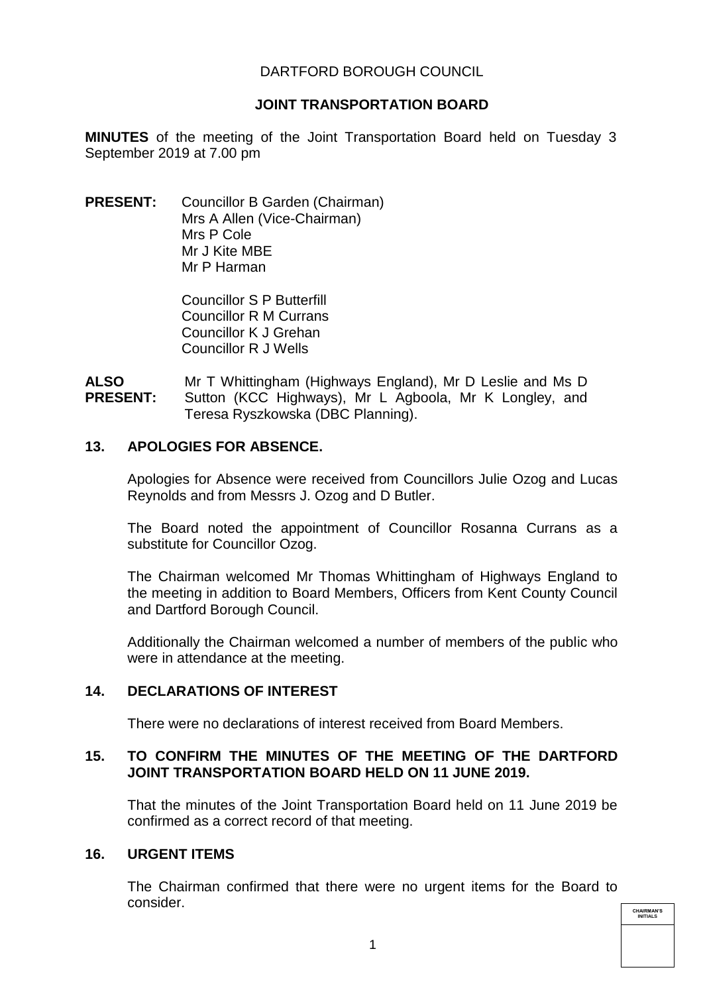## DARTFORD BOROUGH COUNCIL

### **JOINT TRANSPORTATION BOARD**

**MINUTES** of the meeting of the Joint Transportation Board held on Tuesday 3 September 2019 at 7.00 pm

**PRESENT:** Councillor B Garden (Chairman) Mrs A Allen (Vice-Chairman) Mrs P Cole Mr J Kite MBE Mr P Harman

> Councillor S P Butterfill Councillor R M Currans Councillor K J Grehan Councillor R J Wells

**ALSO PRESENT:**  Mr T Whittingham (Highways England), Mr D Leslie and Ms D Sutton (KCC Highways), Mr L Agboola, Mr K Longley, and Teresa Ryszkowska (DBC Planning).

### **13. APOLOGIES FOR ABSENCE.**

Apologies for Absence were received from Councillors Julie Ozog and Lucas Reynolds and from Messrs J. Ozog and D Butler.

The Board noted the appointment of Councillor Rosanna Currans as a substitute for Councillor Ozog.

The Chairman welcomed Mr Thomas Whittingham of Highways England to the meeting in addition to Board Members, Officers from Kent County Council and Dartford Borough Council.

Additionally the Chairman welcomed a number of members of the public who were in attendance at the meeting.

## **14. DECLARATIONS OF INTEREST**

There were no declarations of interest received from Board Members.

## **15. TO CONFIRM THE MINUTES OF THE MEETING OF THE DARTFORD JOINT TRANSPORTATION BOARD HELD ON 11 JUNE 2019.**

That the minutes of the Joint Transportation Board held on 11 June 2019 be confirmed as a correct record of that meeting.

#### **16. URGENT ITEMS**

The Chairman confirmed that there were no urgent items for the Board to consider.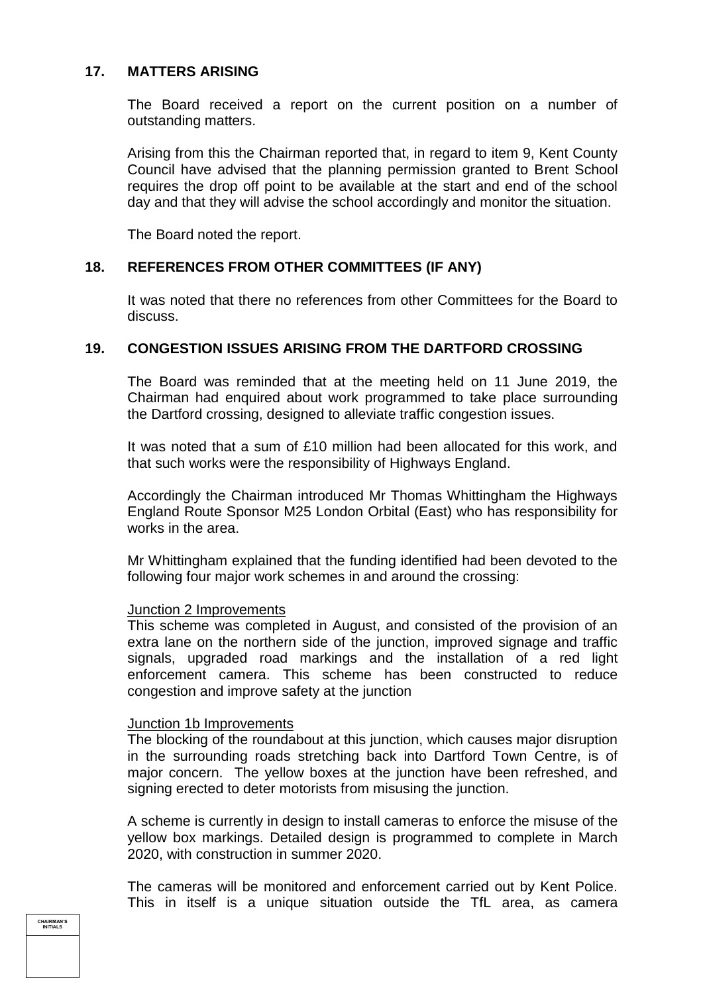## **17. MATTERS ARISING**

The Board received a report on the current position on a number of outstanding matters.

Arising from this the Chairman reported that, in regard to item 9, Kent County Council have advised that the planning permission granted to Brent School requires the drop off point to be available at the start and end of the school day and that they will advise the school accordingly and monitor the situation.

The Board noted the report.

#### **18. REFERENCES FROM OTHER COMMITTEES (IF ANY)**

It was noted that there no references from other Committees for the Board to discuss.

### **19. CONGESTION ISSUES ARISING FROM THE DARTFORD CROSSING**

The Board was reminded that at the meeting held on 11 June 2019, the Chairman had enquired about work programmed to take place surrounding the Dartford crossing, designed to alleviate traffic congestion issues.

It was noted that a sum of £10 million had been allocated for this work, and that such works were the responsibility of Highways England.

Accordingly the Chairman introduced Mr Thomas Whittingham the Highways England Route Sponsor M25 London Orbital (East) who has responsibility for works in the area.

Mr Whittingham explained that the funding identified had been devoted to the following four major work schemes in and around the crossing:

#### Junction 2 Improvements

This scheme was completed in August, and consisted of the provision of an extra lane on the northern side of the junction, improved signage and traffic signals, upgraded road markings and the installation of a red light enforcement camera. This scheme has been constructed to reduce congestion and improve safety at the junction

# **Junction 1b Improvements**

The blocking of the roundabout at this junction, which causes major disruption in the surrounding roads stretching back into Dartford Town Centre, is of major concern. The yellow boxes at the junction have been refreshed, and signing erected to deter motorists from misusing the junction.

A scheme is currently in design to install cameras to enforce the misuse of the yellow box markings. Detailed design is programmed to complete in March 2020, with construction in summer 2020.

The cameras will be monitored and enforcement carried out by Kent Police. This in itself is a unique situation outside the TfL area, as camera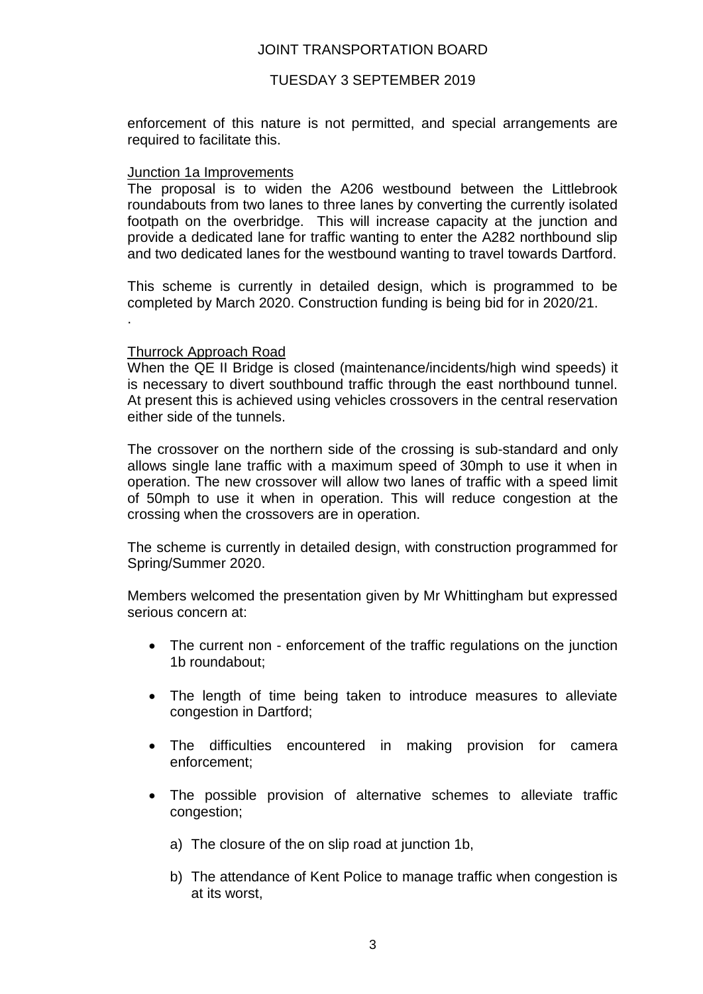### JOINT TRANSPORTATION BOARD

### TUESDAY 3 SEPTEMBER 2019

enforcement of this nature is not permitted, and special arrangements are required to facilitate this.

#### Junction 1a Improvements

The proposal is to widen the A206 westbound between the Littlebrook roundabouts from two lanes to three lanes by converting the currently isolated footpath on the overbridge. This will increase capacity at the junction and provide a dedicated lane for traffic wanting to enter the A282 northbound slip and two dedicated lanes for the westbound wanting to travel towards Dartford.

This scheme is currently in detailed design, which is programmed to be completed by March 2020. Construction funding is being bid for in 2020/21. .

#### Thurrock Approach Road

When the QE II Bridge is closed (maintenance/incidents/high wind speeds) it is necessary to divert southbound traffic through the east northbound tunnel. At present this is achieved using vehicles crossovers in the central reservation either side of the tunnels.

The crossover on the northern side of the crossing is sub-standard and only allows single lane traffic with a maximum speed of 30mph to use it when in operation. The new crossover will allow two lanes of traffic with a speed limit of 50mph to use it when in operation. This will reduce congestion at the crossing when the crossovers are in operation.

The scheme is currently in detailed design, with construction programmed for Spring/Summer 2020.

Members welcomed the presentation given by Mr Whittingham but expressed serious concern at:

- The current non enforcement of the traffic regulations on the junction 1b roundabout;
- The length of time being taken to introduce measures to alleviate congestion in Dartford;
- The difficulties encountered in making provision for camera enforcement;
- The possible provision of alternative schemes to alleviate traffic congestion;
	- a) The closure of the on slip road at junction 1b,
	- b) The attendance of Kent Police to manage traffic when congestion is at its worst,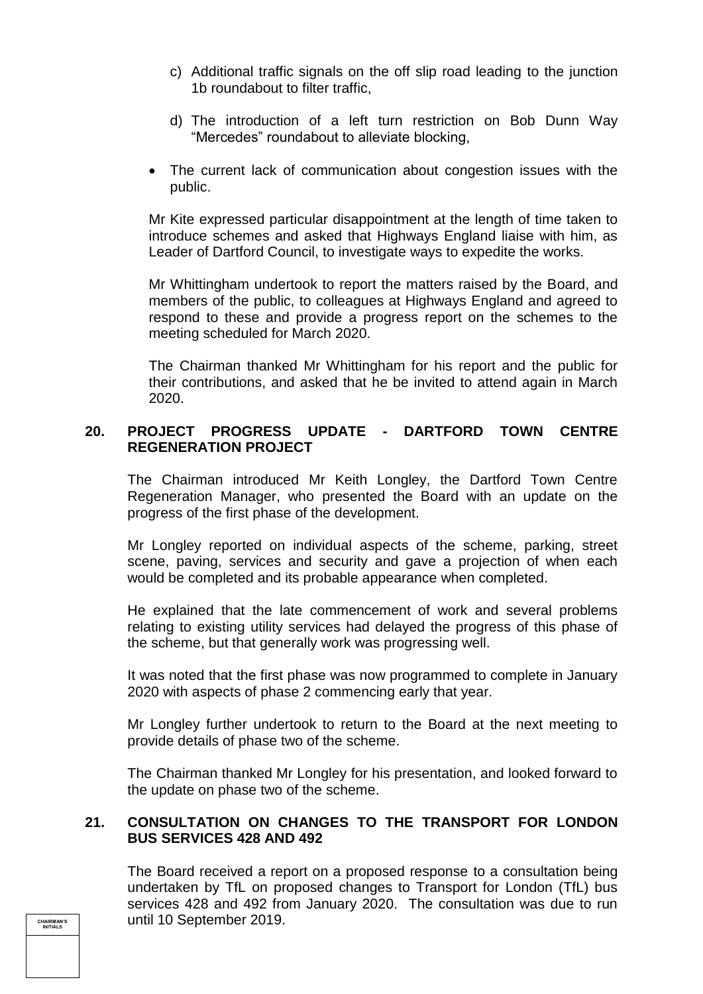- c) Additional traffic signals on the off slip road leading to the junction 1b roundabout to filter traffic,
- d) The introduction of a left turn restriction on Bob Dunn Way "Mercedes" roundabout to alleviate blocking,
- The current lack of communication about congestion issues with the public.

Mr Kite expressed particular disappointment at the length of time taken to introduce schemes and asked that Highways England liaise with him, as Leader of Dartford Council, to investigate ways to expedite the works.

Mr Whittingham undertook to report the matters raised by the Board, and members of the public, to colleagues at Highways England and agreed to respond to these and provide a progress report on the schemes to the meeting scheduled for March 2020.

The Chairman thanked Mr Whittingham for his report and the public for their contributions, and asked that he be invited to attend again in March 2020.

## **20. PROJECT PROGRESS UPDATE - DARTFORD TOWN CENTRE REGENERATION PROJECT**

The Chairman introduced Mr Keith Longley, the Dartford Town Centre Regeneration Manager, who presented the Board with an update on the progress of the first phase of the development.

Mr Longley reported on individual aspects of the scheme, parking, street scene, paving, services and security and gave a projection of when each would be completed and its probable appearance when completed.

He explained that the late commencement of work and several problems relating to existing utility services had delayed the progress of this phase of the scheme, but that generally work was progressing well.

It was noted that the first phase was now programmed to complete in January 2020 with aspects of phase 2 commencing early that year.

Mr Longley further undertook to return to the Board at the next meeting to provide details of phase two of the scheme.

The Chairman thanked Mr Longley for his presentation, and looked forward to the update on phase two of the scheme.

## **21. CONSULTATION ON CHANGES TO THE TRANSPORT FOR LONDON BUS SERVICES 428 AND 492**

The Board received a report on a proposed response to a consultation being undertaken by TfL on proposed changes to Transport for London (TfL) bus services 428 and 492 from January 2020. The consultation was due to run until 10 September 2019.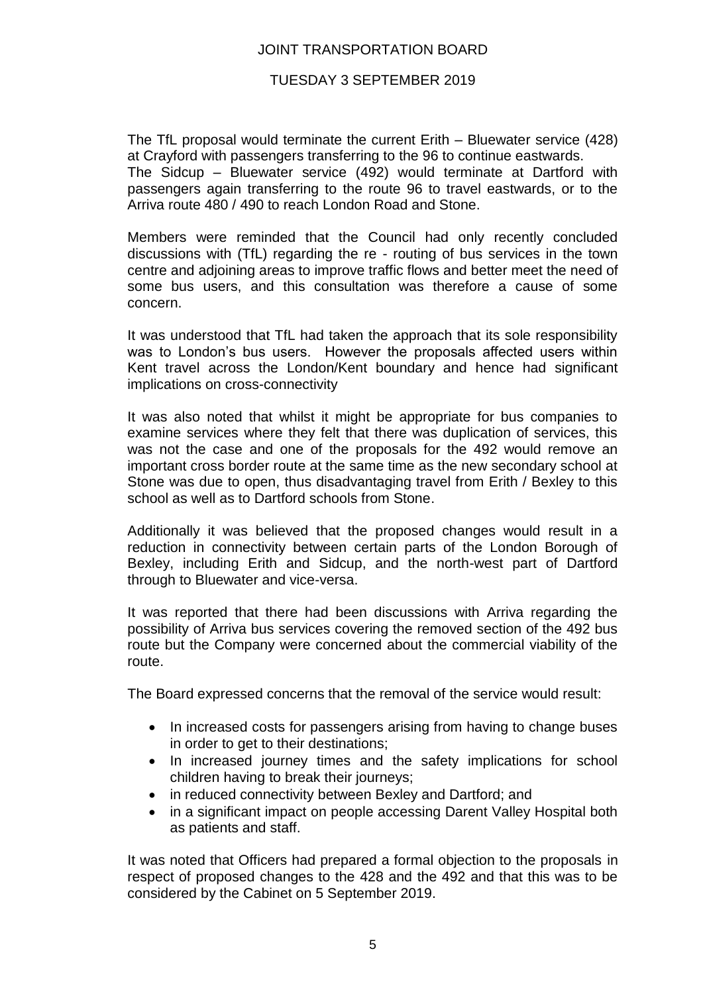## JOINT TRANSPORTATION BOARD

### TUESDAY 3 SEPTEMBER 2019

The TfL proposal would terminate the current Erith – Bluewater service (428) at Crayford with passengers transferring to the 96 to continue eastwards.

The Sidcup – Bluewater service (492) would terminate at Dartford with passengers again transferring to the route 96 to travel eastwards, or to the Arriva route 480 / 490 to reach London Road and Stone.

Members were reminded that the Council had only recently concluded discussions with (TfL) regarding the re - routing of bus services in the town centre and adjoining areas to improve traffic flows and better meet the need of some bus users, and this consultation was therefore a cause of some concern.

It was understood that TfL had taken the approach that its sole responsibility was to London's bus users. However the proposals affected users within Kent travel across the London/Kent boundary and hence had significant implications on cross-connectivity

It was also noted that whilst it might be appropriate for bus companies to examine services where they felt that there was duplication of services, this was not the case and one of the proposals for the 492 would remove an important cross border route at the same time as the new secondary school at Stone was due to open, thus disadvantaging travel from Erith / Bexley to this school as well as to Dartford schools from Stone.

Additionally it was believed that the proposed changes would result in a reduction in connectivity between certain parts of the London Borough of Bexley, including Erith and Sidcup, and the north-west part of Dartford through to Bluewater and vice-versa.

It was reported that there had been discussions with Arriva regarding the possibility of Arriva bus services covering the removed section of the 492 bus route but the Company were concerned about the commercial viability of the route.

The Board expressed concerns that the removal of the service would result:

- In increased costs for passengers arising from having to change buses in order to get to their destinations;
- In increased journey times and the safety implications for school children having to break their journeys;
- in reduced connectivity between Bexley and Dartford; and
- in a significant impact on people accessing Darent Valley Hospital both as patients and staff.

It was noted that Officers had prepared a formal objection to the proposals in respect of proposed changes to the 428 and the 492 and that this was to be considered by the Cabinet on 5 September 2019.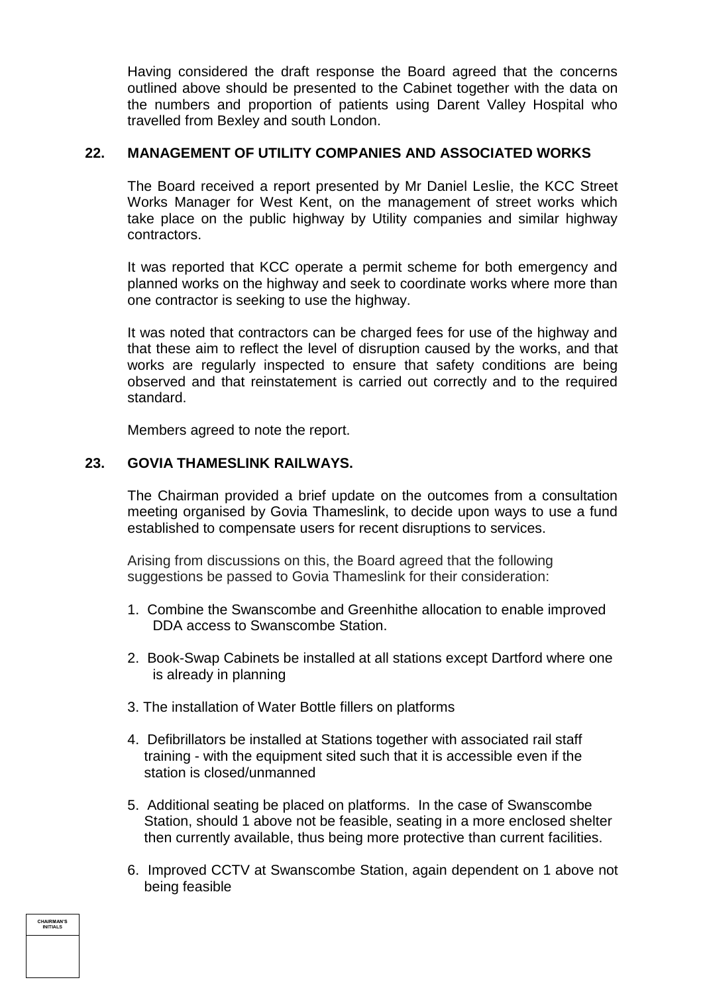Having considered the draft response the Board agreed that the concerns outlined above should be presented to the Cabinet together with the data on the numbers and proportion of patients using Darent Valley Hospital who travelled from Bexley and south London.

## **22. MANAGEMENT OF UTILITY COMPANIES AND ASSOCIATED WORKS**

The Board received a report presented by Mr Daniel Leslie, the KCC Street Works Manager for West Kent, on the management of street works which take place on the public highway by Utility companies and similar highway contractors.

It was reported that KCC operate a permit scheme for both emergency and planned works on the highway and seek to coordinate works where more than one contractor is seeking to use the highway.

It was noted that contractors can be charged fees for use of the highway and that these aim to reflect the level of disruption caused by the works, and that works are regularly inspected to ensure that safety conditions are being observed and that reinstatement is carried out correctly and to the required standard.

Members agreed to note the report.

# **23. GOVIA THAMESLINK RAILWAYS.**

The Chairman provided a brief update on the outcomes from a consultation meeting organised by Govia Thameslink, to decide upon ways to use a fund established to compensate users for recent disruptions to services.

Arising from discussions on this, the Board agreed that the following suggestions be passed to Govia Thameslink for their consideration:

- 1. Combine the Swanscombe and Greenhithe allocation to enable improved DDA access to Swanscombe Station.
- 2. Book-Swap Cabinets be installed at all stations except Dartford where one is already in planning
- 3. The installation of Water Bottle fillers on platforms
- 4. Defibrillators be installed at Stations together with associated rail staff training - with the equipment sited such that it is accessible even if the station is closed/unmanned
- 5. Additional seating be placed on platforms. In the case of Swanscombe Station, should 1 above not be feasible, seating in a more enclosed shelter then currently available, thus being more protective than current facilities.
- 6. Improved CCTV at Swanscombe Station, again dependent on 1 above not being feasible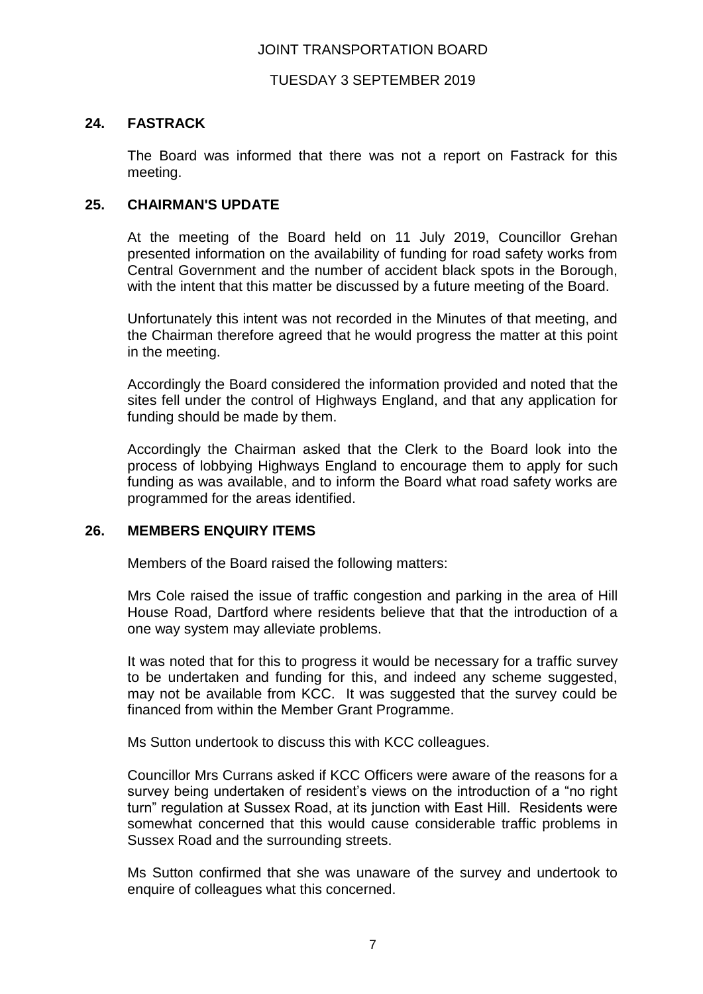### JOINT TRANSPORTATION BOARD

### TUESDAY 3 SEPTEMBER 2019

## **24. FASTRACK**

The Board was informed that there was not a report on Fastrack for this meeting.

## **25. CHAIRMAN'S UPDATE**

At the meeting of the Board held on 11 July 2019, Councillor Grehan presented information on the availability of funding for road safety works from Central Government and the number of accident black spots in the Borough, with the intent that this matter be discussed by a future meeting of the Board.

Unfortunately this intent was not recorded in the Minutes of that meeting, and the Chairman therefore agreed that he would progress the matter at this point in the meeting.

Accordingly the Board considered the information provided and noted that the sites fell under the control of Highways England, and that any application for funding should be made by them.

Accordingly the Chairman asked that the Clerk to the Board look into the process of lobbying Highways England to encourage them to apply for such funding as was available, and to inform the Board what road safety works are programmed for the areas identified.

#### **26. MEMBERS ENQUIRY ITEMS**

Members of the Board raised the following matters:

Mrs Cole raised the issue of traffic congestion and parking in the area of Hill House Road, Dartford where residents believe that that the introduction of a one way system may alleviate problems.

It was noted that for this to progress it would be necessary for a traffic survey to be undertaken and funding for this, and indeed any scheme suggested, may not be available from KCC. It was suggested that the survey could be financed from within the Member Grant Programme.

Ms Sutton undertook to discuss this with KCC colleagues.

Councillor Mrs Currans asked if KCC Officers were aware of the reasons for a survey being undertaken of resident's views on the introduction of a "no right turn" regulation at Sussex Road, at its junction with East Hill. Residents were somewhat concerned that this would cause considerable traffic problems in Sussex Road and the surrounding streets.

Ms Sutton confirmed that she was unaware of the survey and undertook to enquire of colleagues what this concerned.